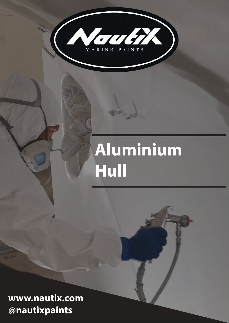

### **Aluminium Hull**

**www.nautix.com @nautixpaints**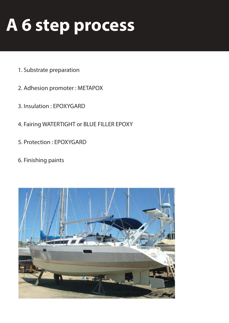### **A 6 step process**

- 1. Substrate preparation
- 2. Adhesion promoter : METAPOX
- 3. Insulation : EPOXYGARD
- 4. Fairing WATERTIGHT or BLUE FILLER EPOXY
- 5. Protection : EPOXYGARD
- 6. Finishing paints

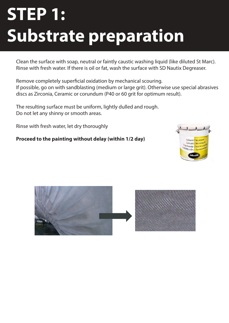## **STEP 1: Substrate preparation**

Clean the surface with soap, neutral or faintly caustic washing liquid (like diluted St Marc). Rinse with fresh water. If there is oil or fat, wash the surface with SD Nautix Degreaser.

Remove completely superficial oxidation by mechanical scouring. If possible, go on with sandblasting (medium or large grit). Otherwise use special abrasives discs as Zirconia, Ceramic or corundum (P40 or 60 grit for optimum result).

The resulting surface must be uniform, lightly dulled and rough. Do not let any shinny or smooth areas.

Rinse with fresh water, let dry thoroughly

#### **Proceed to the painting without delay (within 1/2 day)**



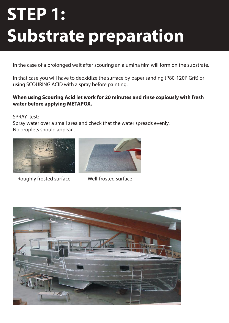## **STEP 1: Substrate preparation**

In the case of a prolonged wait after scouring an alumina film will form on the substrate.

In that case you will have to deoxidize the surface by paper sanding (P80-120P Grit) or using SCOURING ACID with a spray before painting.

#### **When using Scouring Acid let work for 20 minutes and rinse copiously with fresh water before applying METAPOX.**

SPRAY test: Spray water over a small area and check that the water spreads evenly. No droplets should appear .



Roughly frosted surface Well-frosted surface



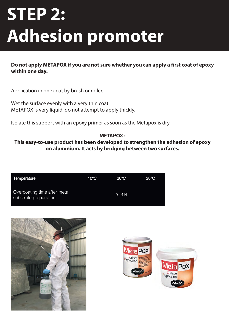## **STEP 2: Adhesion promoter**

Do not apply METAPOX if you are not sure whether you can apply a first coat of epoxy **within one day.**

Application in one coat by brush or roller.

Wet the surface evenly with a very thin coat METAPOX is very liquid, do not attempt to apply thickly.

Isolate this support with an epoxy primer as soon as the Metapox is dry.

#### **METAPOX :**

#### **This easy-to-use product has been developed to strengthen the adhesion of epoxy on aluminium. It acts by bridging between two surfaces.**

| Temperature                                           | $10^{\circ}$ C | $20^{\circ}$ C | $30^{\circ}$ C |
|-------------------------------------------------------|----------------|----------------|----------------|
| Overcoating time after metal<br>substrate preparation |                | $0 - 4$ H      |                |



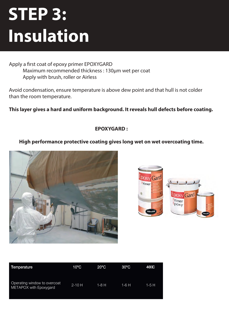### **STEP 3: Insulation**

Apply a first coat of epoxy primer EPOXYGARD Maximum recommended thickness : 130µm wet per coat Apply with brush, roller or Airless

Avoid condensation, ensure temperature is above dew point and that hull is not colder than the room temperature.

**This layer gives a hard and uniform background. It reveals hull defects before coating.**

#### **EPOXYGARD :**

#### **High performance protective coating gives long wet on wet overcoating time.**





| Temperature                                            | $10^{\circ}$ C | $20^{\circ}$ C | $30^{\circ}$ C | 40 C   |
|--------------------------------------------------------|----------------|----------------|----------------|--------|
| Operating window to overcoat<br>METAPOX with Epoxygard | $2-10H$        | $1-8$ H        | $1-6$ H        | $1-5H$ |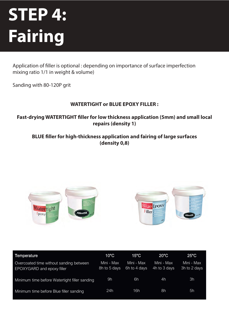## **STEP 4: Fairing**

Application of filler is optional : depending on importance of surface imperfection mixing ratio 1/1 in weight & volume)

Sanding with 80-120P grit

#### **WATERTIGHT or BLUE EPOXY FILLER :**

#### **Fast-drying WATERTIGHT filler for low thickness application (5mm) and small local repairs (density 1)**

#### **BLUE filler for high-thickness application and fairing of large surfaces (density 0,8)**



| Temperature                                                           | $10^{\circ}$ C             | $15^{\circ}$ C             | $20^{\circ}$ C             | $25^{\circ}$ C             |
|-----------------------------------------------------------------------|----------------------------|----------------------------|----------------------------|----------------------------|
| Overcoated time without sanding between<br>EPOXYGARD and epoxy filler | Mini - Max<br>8h to 5 days | Mini - Max<br>6h to 4 days | Mini - Max<br>4h to 3 days | Mini - Max<br>3h to 2 days |
| Minimum time before Watertight filler sanding                         | 9h                         | 6h                         | 4h                         | 3h                         |
| Minimum time before Blue filler sanding                               | 24h                        | 16h                        | 8h                         | 5h                         |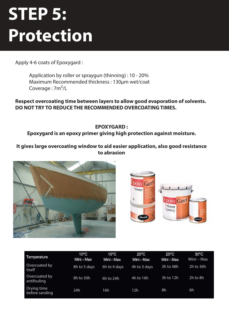### **STEP 5: Protection**

Apply 4-6 coats of Epoxygard :

 Application by roller or spraygun (thinning) : 10 - 20% Maximum Recommended thickness : 130µm wet/coat Coverage : 7m²/L

#### **Respect overcoating time between layers to allow good evaporation of solvents. DO NOT TRY TO REDUCE THE RECOMMENDED OVERCOATING TIMES.**

#### **EPOXYGARD :**

#### **Epoxygard is an epoxy primer giving high protection against moisture.**

#### **It gives large overcoating window to aid easier application, also good resistance to abrasion**





| Temperature                   | $10^{\circ}$ C<br>Mini - Max | $15^{\circ}$ C<br>Mini - Max | $20^{\circ}$ C<br>Mini - Max | $25^{\circ}$ C<br>Mini - Max | $30^{\circ}$ C<br>Mini- - Max |
|-------------------------------|------------------------------|------------------------------|------------------------------|------------------------------|-------------------------------|
| Overcoated by<br>itself       | 8h to 5 days                 | 6h to 4 days                 | 4h to 3 days                 | 3h to 48h                    | 2h to 36h                     |
| Overcoated by<br>antifouling  | 8h to 30h                    | 6h to 24h                    | 4h to 16h                    | 3h to 12h                    | 2h to 8h                      |
| Drying time<br>before sanding | 24h                          | 16h                          | 12h                          | 8h                           | 6h                            |